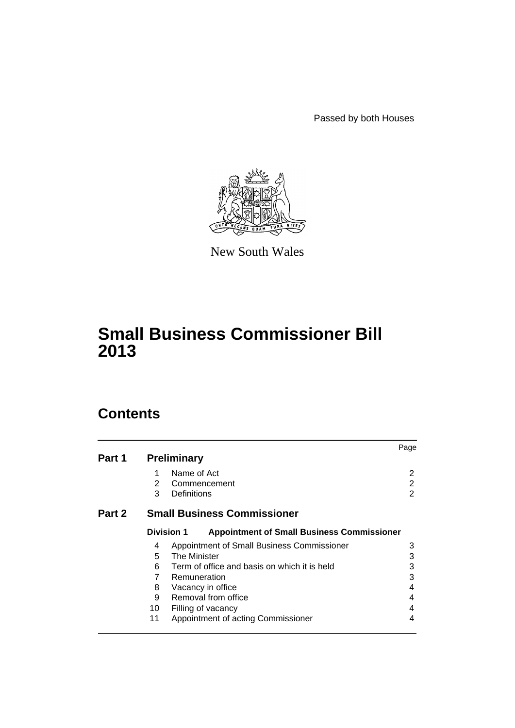Passed by both Houses



New South Wales

# **Small Business Commissioner Bill 2013**

# **Contents**

|        |                   |                                                   | Page |
|--------|-------------------|---------------------------------------------------|------|
| Part 1 |                   | <b>Preliminary</b>                                |      |
|        | 1                 | Name of Act                                       | 2    |
|        | $\overline{2}$    | Commencement                                      | 2    |
|        | 3                 | Definitions                                       | 2    |
| Part 2 |                   | <b>Small Business Commissioner</b>                |      |
|        | <b>Division 1</b> | <b>Appointment of Small Business Commissioner</b> |      |
|        | 4                 | Appointment of Small Business Commissioner        | 3    |
|        | 5                 | <b>The Minister</b>                               | 3    |
|        | 6                 | Term of office and basis on which it is held      | 3    |
|        | 7                 | Remuneration                                      | 3    |
|        | 8                 | Vacancy in office                                 | 4    |
|        | 9                 | Removal from office                               | 4    |
|        | 10                | Filling of vacancy                                | 4    |
|        | 11                | Appointment of acting Commissioner                | 4    |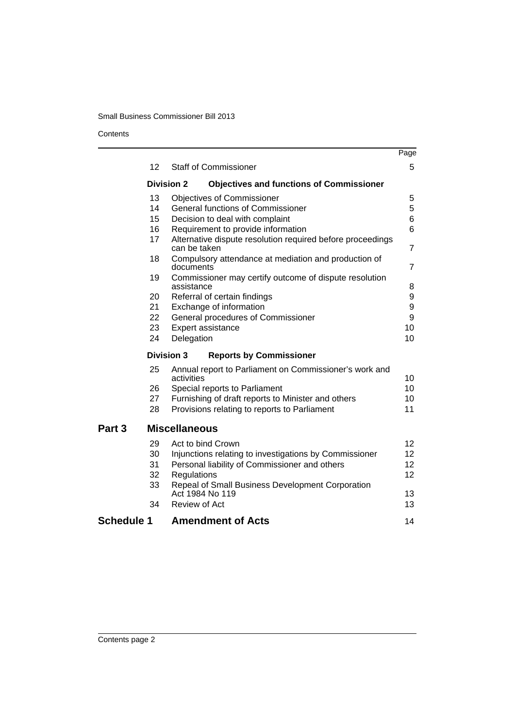# Small Business Commissioner Bill 2013

Contents

|                   |                   |                                                                            | Page |
|-------------------|-------------------|----------------------------------------------------------------------------|------|
|                   | 12                | <b>Staff of Commissioner</b>                                               | 5    |
|                   | <b>Division 2</b> | <b>Objectives and functions of Commissioner</b>                            |      |
|                   | 13                | <b>Objectives of Commissioner</b>                                          | 5    |
|                   | 14                | <b>General functions of Commissioner</b>                                   | 5    |
|                   | 15                | Decision to deal with complaint                                            | 6    |
|                   | 16                | Requirement to provide information                                         | 6    |
|                   | 17                | Alternative dispute resolution required before proceedings<br>can be taken | 7    |
|                   | 18                | Compulsory attendance at mediation and production of<br>documents          | 7    |
|                   | 19                | Commissioner may certify outcome of dispute resolution<br>assistance       | 8    |
|                   | 20                | Referral of certain findings                                               | 9    |
|                   | 21                | Exchange of information                                                    | 9    |
|                   | 22                | General procedures of Commissioner                                         | 9    |
|                   | 23                | Expert assistance                                                          | 10   |
|                   | 24                | Delegation                                                                 | 10   |
|                   | <b>Division 3</b> | <b>Reports by Commissioner</b>                                             |      |
|                   | 25                | Annual report to Parliament on Commissioner's work and<br>activities       | 10   |
|                   | 26                | Special reports to Parliament                                              | 10   |
|                   | 27                | Furnishing of draft reports to Minister and others                         | 10   |
|                   | 28                | Provisions relating to reports to Parliament                               | 11   |
| Part <sub>3</sub> |                   | <b>Miscellaneous</b>                                                       |      |
|                   | 29                | Act to bind Crown                                                          | 12   |
|                   | 30                | Injunctions relating to investigations by Commissioner                     | 12   |
|                   | 31                | Personal liability of Commissioner and others                              | 12   |
|                   | 32                | Regulations                                                                | 12   |
|                   | 33                | Repeal of Small Business Development Corporation                           |      |
|                   |                   | Act 1984 No 119                                                            | 13   |
|                   | 34                | Review of Act                                                              | 13   |
| <b>Schedule 1</b> |                   | <b>Amendment of Acts</b>                                                   | 14   |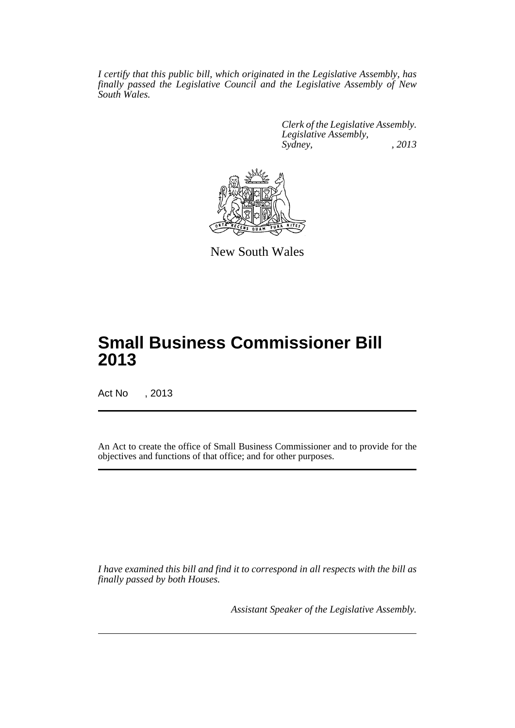*I certify that this public bill, which originated in the Legislative Assembly, has finally passed the Legislative Council and the Legislative Assembly of New South Wales.*

> *Clerk of the Legislative Assembly. Legislative Assembly, Sydney, , 2013*



New South Wales

# **Small Business Commissioner Bill 2013**

Act No , 2013

An Act to create the office of Small Business Commissioner and to provide for the objectives and functions of that office; and for other purposes.

*I have examined this bill and find it to correspond in all respects with the bill as finally passed by both Houses.*

*Assistant Speaker of the Legislative Assembly.*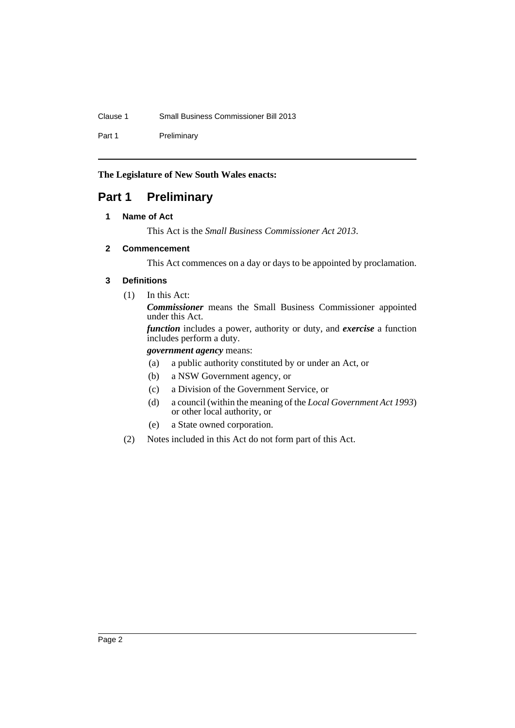# Clause 1 Small Business Commissioner Bill 2013

Part 1 Preliminary

**The Legislature of New South Wales enacts:**

# <span id="page-3-1"></span><span id="page-3-0"></span>**Part 1 Preliminary**

# **1 Name of Act**

This Act is the *Small Business Commissioner Act 2013*.

# <span id="page-3-2"></span>**2 Commencement**

This Act commences on a day or days to be appointed by proclamation.

# <span id="page-3-3"></span>**3 Definitions**

(1) In this Act:

*Commissioner* means the Small Business Commissioner appointed under this Act.

*function* includes a power, authority or duty, and *exercise* a function includes perform a duty.

# *government agency* means:

- (a) a public authority constituted by or under an Act, or
- (b) a NSW Government agency, or
- (c) a Division of the Government Service, or
- (d) a council (within the meaning of the *Local Government Act 1993*) or other local authority, or
- (e) a State owned corporation.
- (2) Notes included in this Act do not form part of this Act.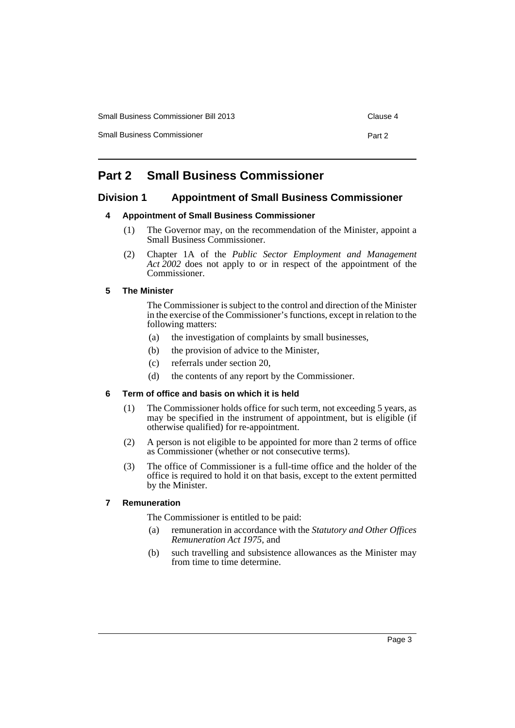Small Business Commissioner Bill 2013 Clause 4

Small Business Commissioner **Part 2 Part 2** 

# <span id="page-4-0"></span>**Part 2 Small Business Commissioner**

# <span id="page-4-2"></span><span id="page-4-1"></span>**Division 1 Appointment of Small Business Commissioner**

# **4 Appointment of Small Business Commissioner**

- (1) The Governor may, on the recommendation of the Minister, appoint a Small Business Commissioner.
- (2) Chapter 1A of the *Public Sector Employment and Management Act 2002* does not apply to or in respect of the appointment of the Commissioner.

# <span id="page-4-3"></span>**5 The Minister**

The Commissioner is subject to the control and direction of the Minister in the exercise of the Commissioner's functions, except in relation to the following matters:

- (a) the investigation of complaints by small businesses,
- (b) the provision of advice to the Minister,
- (c) referrals under section 20,
- (d) the contents of any report by the Commissioner.

# <span id="page-4-4"></span>**6 Term of office and basis on which it is held**

- (1) The Commissioner holds office for such term, not exceeding 5 years, as may be specified in the instrument of appointment, but is eligible (if otherwise qualified) for re-appointment.
- (2) A person is not eligible to be appointed for more than 2 terms of office as Commissioner (whether or not consecutive terms).
- (3) The office of Commissioner is a full-time office and the holder of the office is required to hold it on that basis, except to the extent permitted by the Minister.

# <span id="page-4-5"></span>**7 Remuneration**

The Commissioner is entitled to be paid:

- (a) remuneration in accordance with the *Statutory and Other Offices Remuneration Act 1975*, and
- (b) such travelling and subsistence allowances as the Minister may from time to time determine.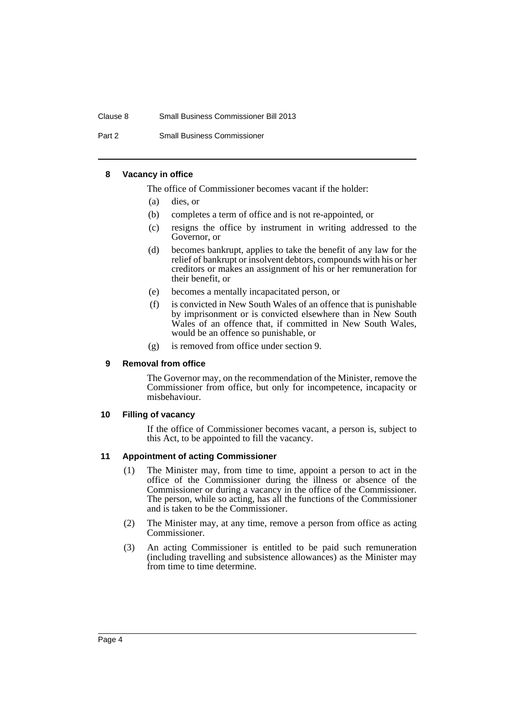#### Clause 8 Small Business Commissioner Bill 2013

Part 2 Small Business Commissioner

#### <span id="page-5-0"></span>**8 Vacancy in office**

The office of Commissioner becomes vacant if the holder:

- (a) dies, or
- (b) completes a term of office and is not re-appointed, or
- (c) resigns the office by instrument in writing addressed to the Governor, or
- (d) becomes bankrupt, applies to take the benefit of any law for the relief of bankrupt or insolvent debtors, compounds with his or her creditors or makes an assignment of his or her remuneration for their benefit, or
- (e) becomes a mentally incapacitated person, or
- (f) is convicted in New South Wales of an offence that is punishable by imprisonment or is convicted elsewhere than in New South Wales of an offence that, if committed in New South Wales, would be an offence so punishable, or
- (g) is removed from office under section 9.

#### <span id="page-5-1"></span>**9 Removal from office**

The Governor may, on the recommendation of the Minister, remove the Commissioner from office, but only for incompetence, incapacity or misbehaviour.

#### <span id="page-5-2"></span>**10 Filling of vacancy**

If the office of Commissioner becomes vacant, a person is, subject to this Act, to be appointed to fill the vacancy.

#### <span id="page-5-3"></span>**11 Appointment of acting Commissioner**

- (1) The Minister may, from time to time, appoint a person to act in the office of the Commissioner during the illness or absence of the Commissioner or during a vacancy in the office of the Commissioner. The person, while so acting, has all the functions of the Commissioner and is taken to be the Commissioner.
- (2) The Minister may, at any time, remove a person from office as acting Commissioner.
- (3) An acting Commissioner is entitled to be paid such remuneration (including travelling and subsistence allowances) as the Minister may from time to time determine.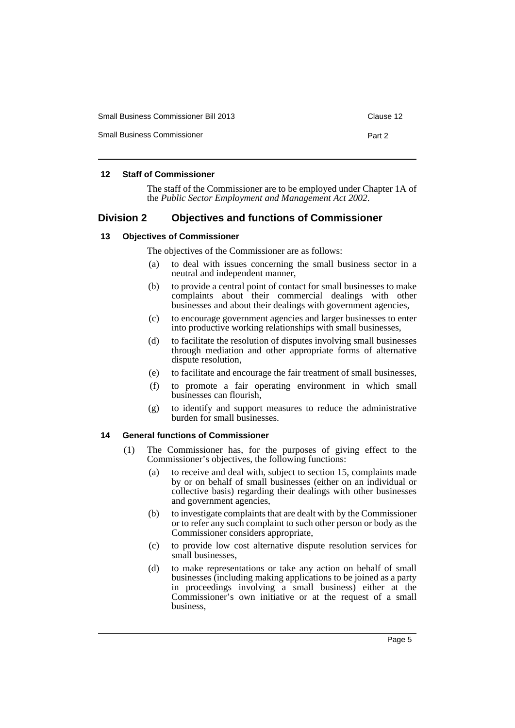| <b>Small Business Commissioner Bill 2013</b> | Clause 12 |
|----------------------------------------------|-----------|
| <b>Small Business Commissioner</b>           | Part 2    |

# <span id="page-6-0"></span>**12 Staff of Commissioner**

The staff of the Commissioner are to be employed under Chapter 1A of the *Public Sector Employment and Management Act 2002*.

# <span id="page-6-1"></span>**Division 2 Objectives and functions of Commissioner**

#### <span id="page-6-2"></span>**13 Objectives of Commissioner**

The objectives of the Commissioner are as follows:

- (a) to deal with issues concerning the small business sector in a neutral and independent manner,
- (b) to provide a central point of contact for small businesses to make complaints about their commercial dealings with other businesses and about their dealings with government agencies,
- (c) to encourage government agencies and larger businesses to enter into productive working relationships with small businesses,
- (d) to facilitate the resolution of disputes involving small businesses through mediation and other appropriate forms of alternative dispute resolution,
- (e) to facilitate and encourage the fair treatment of small businesses,
- (f) to promote a fair operating environment in which small businesses can flourish,
- (g) to identify and support measures to reduce the administrative burden for small businesses.

#### <span id="page-6-3"></span>**14 General functions of Commissioner**

- (1) The Commissioner has, for the purposes of giving effect to the Commissioner's objectives, the following functions:
	- (a) to receive and deal with, subject to section 15, complaints made by or on behalf of small businesses (either on an individual or collective basis) regarding their dealings with other businesses and government agencies,
	- (b) to investigate complaints that are dealt with by the Commissioner or to refer any such complaint to such other person or body as the Commissioner considers appropriate,
	- (c) to provide low cost alternative dispute resolution services for small businesses,
	- (d) to make representations or take any action on behalf of small businesses (including making applications to be joined as a party in proceedings involving a small business) either at the Commissioner's own initiative or at the request of a small business,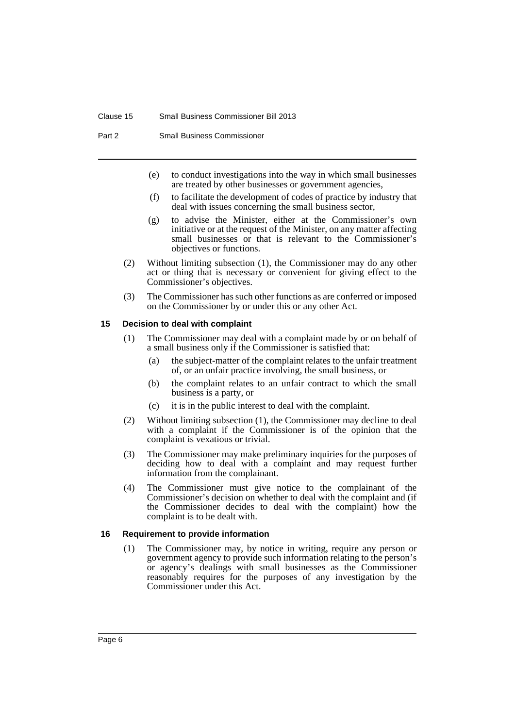#### Clause 15 Small Business Commissioner Bill 2013

Part 2 Small Business Commissioner

- (e) to conduct investigations into the way in which small businesses are treated by other businesses or government agencies,
- (f) to facilitate the development of codes of practice by industry that deal with issues concerning the small business sector,
- (g) to advise the Minister, either at the Commissioner's own initiative or at the request of the Minister, on any matter affecting small businesses or that is relevant to the Commissioner's objectives or functions.
- (2) Without limiting subsection (1), the Commissioner may do any other act or thing that is necessary or convenient for giving effect to the Commissioner's objectives.
- (3) The Commissioner has such other functions as are conferred or imposed on the Commissioner by or under this or any other Act.

#### <span id="page-7-0"></span>**15 Decision to deal with complaint**

- (1) The Commissioner may deal with a complaint made by or on behalf of a small business only if the Commissioner is satisfied that:
	- (a) the subject-matter of the complaint relates to the unfair treatment of, or an unfair practice involving, the small business, or
	- (b) the complaint relates to an unfair contract to which the small business is a party, or
	- (c) it is in the public interest to deal with the complaint.
- (2) Without limiting subsection (1), the Commissioner may decline to deal with a complaint if the Commissioner is of the opinion that the complaint is vexatious or trivial.
- (3) The Commissioner may make preliminary inquiries for the purposes of deciding how to deal with a complaint and may request further information from the complainant.
- (4) The Commissioner must give notice to the complainant of the Commissioner's decision on whether to deal with the complaint and (if the Commissioner decides to deal with the complaint) how the complaint is to be dealt with.

#### <span id="page-7-1"></span>**16 Requirement to provide information**

(1) The Commissioner may, by notice in writing, require any person or government agency to provide such information relating to the person's or agency's dealings with small businesses as the Commissioner reasonably requires for the purposes of any investigation by the Commissioner under this Act.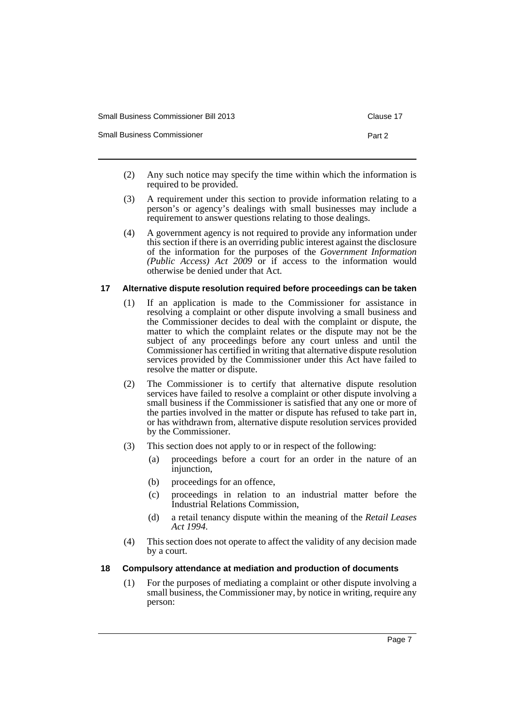| <b>Small Business Commissioner Bill 2013</b> | Clause 17 |
|----------------------------------------------|-----------|
| <b>Small Business Commissioner</b>           | Part 2    |

- (2) Any such notice may specify the time within which the information is required to be provided.
- (3) A requirement under this section to provide information relating to a person's or agency's dealings with small businesses may include a requirement to answer questions relating to those dealings.
- (4) A government agency is not required to provide any information under this section if there is an overriding public interest against the disclosure of the information for the purposes of the *Government Information (Public Access) Act 2009* or if access to the information would otherwise be denied under that Act.

# <span id="page-8-0"></span>**17 Alternative dispute resolution required before proceedings can be taken**

- (1) If an application is made to the Commissioner for assistance in resolving a complaint or other dispute involving a small business and the Commissioner decides to deal with the complaint or dispute, the matter to which the complaint relates or the dispute may not be the subject of any proceedings before any court unless and until the Commissioner has certified in writing that alternative dispute resolution services provided by the Commissioner under this Act have failed to resolve the matter or dispute.
- (2) The Commissioner is to certify that alternative dispute resolution services have failed to resolve a complaint or other dispute involving a small business if the Commissioner is satisfied that any one or more of the parties involved in the matter or dispute has refused to take part in, or has withdrawn from, alternative dispute resolution services provided by the Commissioner.
- (3) This section does not apply to or in respect of the following:
	- (a) proceedings before a court for an order in the nature of an injunction,
	- (b) proceedings for an offence,
	- (c) proceedings in relation to an industrial matter before the Industrial Relations Commission,
	- (d) a retail tenancy dispute within the meaning of the *Retail Leases Act 1994*.
- (4) This section does not operate to affect the validity of any decision made by a court.

#### <span id="page-8-1"></span>**18 Compulsory attendance at mediation and production of documents**

(1) For the purposes of mediating a complaint or other dispute involving a small business, the Commissioner may, by notice in writing, require any person: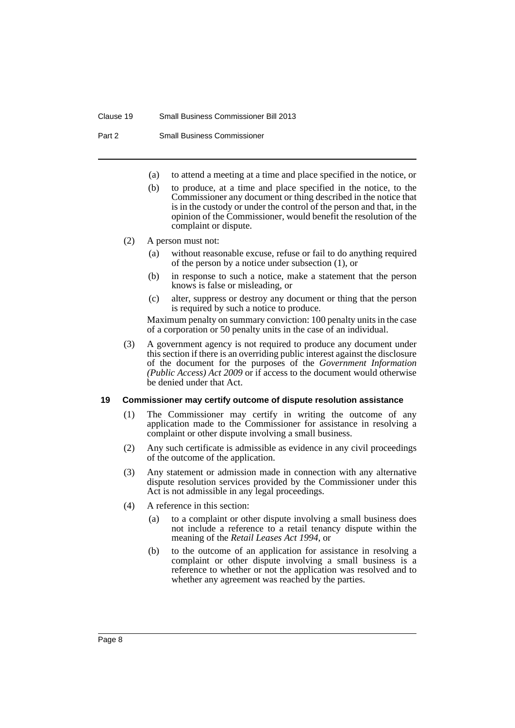#### Clause 19 Small Business Commissioner Bill 2013

Part 2 Small Business Commissioner

- (a) to attend a meeting at a time and place specified in the notice, or
- (b) to produce, at a time and place specified in the notice, to the Commissioner any document or thing described in the notice that is in the custody or under the control of the person and that, in the opinion of the Commissioner, would benefit the resolution of the complaint or dispute.

#### (2) A person must not:

- (a) without reasonable excuse, refuse or fail to do anything required of the person by a notice under subsection (1), or
- (b) in response to such a notice, make a statement that the person knows is false or misleading, or
- (c) alter, suppress or destroy any document or thing that the person is required by such a notice to produce.

Maximum penalty on summary conviction: 100 penalty units in the case of a corporation or 50 penalty units in the case of an individual.

(3) A government agency is not required to produce any document under this section if there is an overriding public interest against the disclosure of the document for the purposes of the *Government Information (Public Access) Act 2009* or if access to the document would otherwise be denied under that Act.

#### <span id="page-9-0"></span>**19 Commissioner may certify outcome of dispute resolution assistance**

- (1) The Commissioner may certify in writing the outcome of any application made to the Commissioner for assistance in resolving a complaint or other dispute involving a small business.
- (2) Any such certificate is admissible as evidence in any civil proceedings of the outcome of the application.
- (3) Any statement or admission made in connection with any alternative dispute resolution services provided by the Commissioner under this Act is not admissible in any legal proceedings.
- (4) A reference in this section:
	- (a) to a complaint or other dispute involving a small business does not include a reference to a retail tenancy dispute within the meaning of the *Retail Leases Act 1994*, or
	- (b) to the outcome of an application for assistance in resolving a complaint or other dispute involving a small business is a reference to whether or not the application was resolved and to whether any agreement was reached by the parties.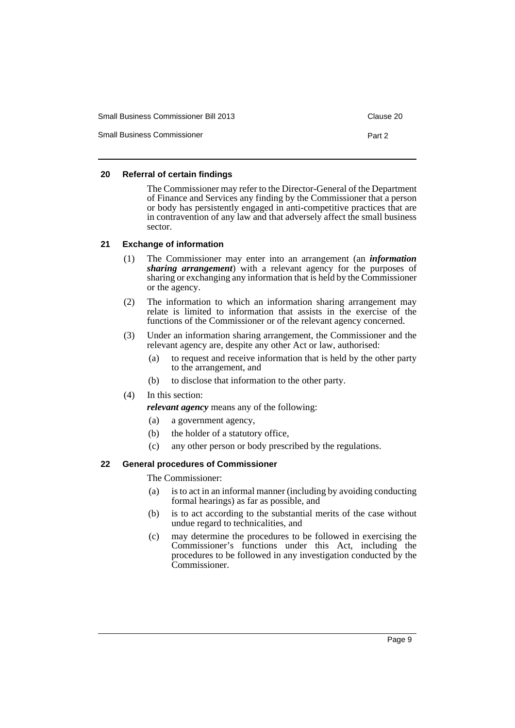| Small Business Commissioner Bill 2013 | Clause 20 |
|---------------------------------------|-----------|
| <b>Small Business Commissioner</b>    | Part 2    |

# <span id="page-10-0"></span>**20 Referral of certain findings**

The Commissioner may refer to the Director-General of the Department of Finance and Services any finding by the Commissioner that a person or body has persistently engaged in anti-competitive practices that are in contravention of any law and that adversely affect the small business sector.

# <span id="page-10-1"></span>**21 Exchange of information**

- (1) The Commissioner may enter into an arrangement (an *information sharing arrangement*) with a relevant agency for the purposes of sharing or exchanging any information that is held by the Commissioner or the agency.
- (2) The information to which an information sharing arrangement may relate is limited to information that assists in the exercise of the functions of the Commissioner or of the relevant agency concerned.
- (3) Under an information sharing arrangement, the Commissioner and the relevant agency are, despite any other Act or law, authorised:
	- (a) to request and receive information that is held by the other party to the arrangement, and
	- (b) to disclose that information to the other party.
- (4) In this section:
	- *relevant agency* means any of the following:
	- (a) a government agency,
	- (b) the holder of a statutory office,
	- (c) any other person or body prescribed by the regulations.

# <span id="page-10-2"></span>**22 General procedures of Commissioner**

The Commissioner:

- (a) is to act in an informal manner (including by avoiding conducting formal hearings) as far as possible, and
- (b) is to act according to the substantial merits of the case without undue regard to technicalities, and
- (c) may determine the procedures to be followed in exercising the Commissioner's functions under this Act, including the procedures to be followed in any investigation conducted by the Commissioner.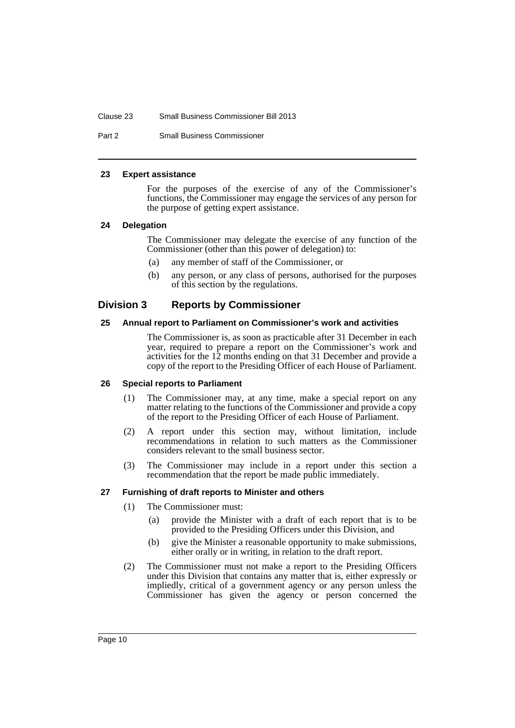#### Clause 23 Small Business Commissioner Bill 2013

Part 2 Small Business Commissioner

#### <span id="page-11-0"></span>**23 Expert assistance**

For the purposes of the exercise of any of the Commissioner's functions, the Commissioner may engage the services of any person for the purpose of getting expert assistance.

# <span id="page-11-1"></span>**24 Delegation**

The Commissioner may delegate the exercise of any function of the Commissioner (other than this power of delegation) to:

- (a) any member of staff of the Commissioner, or
- (b) any person, or any class of persons, authorised for the purposes of this section by the regulations.

# <span id="page-11-2"></span>**Division 3 Reports by Commissioner**

# <span id="page-11-3"></span>**25 Annual report to Parliament on Commissioner's work and activities**

The Commissioner is, as soon as practicable after 31 December in each year, required to prepare a report on the Commissioner's work and activities for the 12 months ending on that 31 December and provide a copy of the report to the Presiding Officer of each House of Parliament.

#### <span id="page-11-4"></span>**26 Special reports to Parliament**

- (1) The Commissioner may, at any time, make a special report on any matter relating to the functions of the Commissioner and provide a copy of the report to the Presiding Officer of each House of Parliament.
- (2) A report under this section may, without limitation, include recommendations in relation to such matters as the Commissioner considers relevant to the small business sector.
- (3) The Commissioner may include in a report under this section a recommendation that the report be made public immediately.

#### <span id="page-11-5"></span>**27 Furnishing of draft reports to Minister and others**

- (1) The Commissioner must:
	- (a) provide the Minister with a draft of each report that is to be provided to the Presiding Officers under this Division, and
	- (b) give the Minister a reasonable opportunity to make submissions, either orally or in writing, in relation to the draft report.
- (2) The Commissioner must not make a report to the Presiding Officers under this Division that contains any matter that is, either expressly or impliedly, critical of a government agency or any person unless the Commissioner has given the agency or person concerned the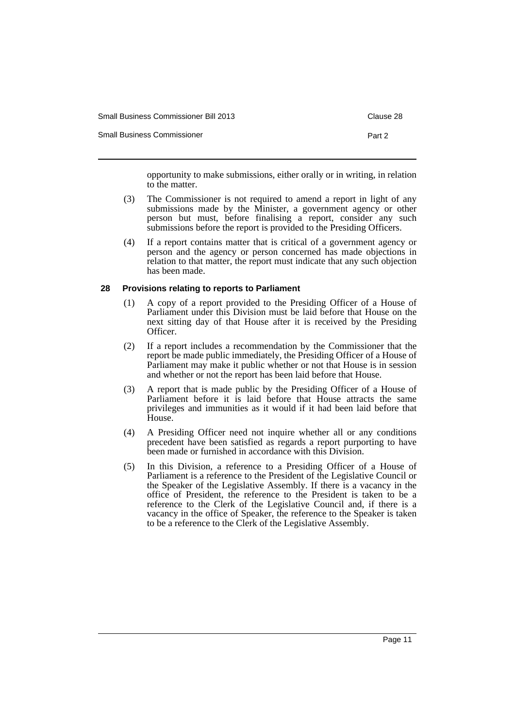| <b>Small Business Commissioner Bill 2013</b> | Clause 28 |
|----------------------------------------------|-----------|
| <b>Small Business Commissioner</b>           | Part 2    |

opportunity to make submissions, either orally or in writing, in relation to the matter.

- (3) The Commissioner is not required to amend a report in light of any submissions made by the Minister, a government agency or other person but must, before finalising a report, consider any such submissions before the report is provided to the Presiding Officers.
- (4) If a report contains matter that is critical of a government agency or person and the agency or person concerned has made objections in relation to that matter, the report must indicate that any such objection has been made.

# <span id="page-12-0"></span>**28 Provisions relating to reports to Parliament**

- (1) A copy of a report provided to the Presiding Officer of a House of Parliament under this Division must be laid before that House on the next sitting day of that House after it is received by the Presiding Officer.
- (2) If a report includes a recommendation by the Commissioner that the report be made public immediately, the Presiding Officer of a House of Parliament may make it public whether or not that House is in session and whether or not the report has been laid before that House.
- (3) A report that is made public by the Presiding Officer of a House of Parliament before it is laid before that House attracts the same privileges and immunities as it would if it had been laid before that House.
- (4) A Presiding Officer need not inquire whether all or any conditions precedent have been satisfied as regards a report purporting to have been made or furnished in accordance with this Division.
- (5) In this Division, a reference to a Presiding Officer of a House of Parliament is a reference to the President of the Legislative Council or the Speaker of the Legislative Assembly. If there is a vacancy in the office of President, the reference to the President is taken to be a reference to the Clerk of the Legislative Council and, if there is a vacancy in the office of Speaker, the reference to the Speaker is taken to be a reference to the Clerk of the Legislative Assembly.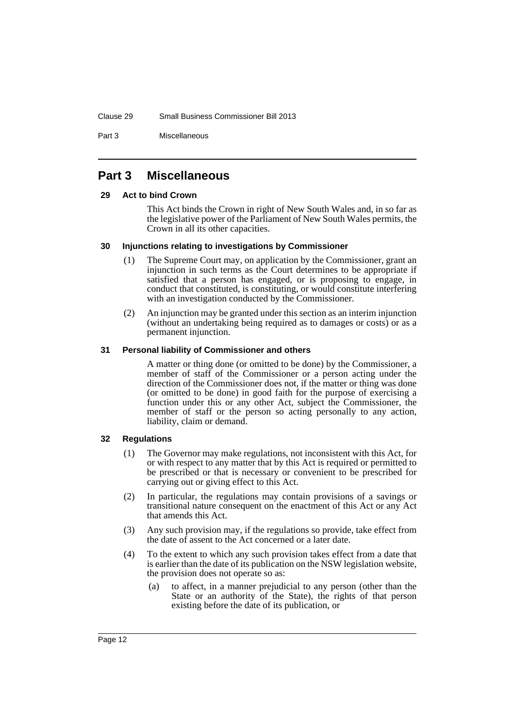#### Clause 29 Small Business Commissioner Bill 2013

Part 3 Miscellaneous

# <span id="page-13-0"></span>**Part 3 Miscellaneous**

#### <span id="page-13-1"></span>**29 Act to bind Crown**

This Act binds the Crown in right of New South Wales and, in so far as the legislative power of the Parliament of New South Wales permits, the Crown in all its other capacities.

# <span id="page-13-2"></span>**30 Injunctions relating to investigations by Commissioner**

- (1) The Supreme Court may, on application by the Commissioner, grant an injunction in such terms as the Court determines to be appropriate if satisfied that a person has engaged, or is proposing to engage, in conduct that constituted, is constituting, or would constitute interfering with an investigation conducted by the Commissioner.
- (2) An injunction may be granted under this section as an interim injunction (without an undertaking being required as to damages or costs) or as a permanent injunction.

# <span id="page-13-3"></span>**31 Personal liability of Commissioner and others**

A matter or thing done (or omitted to be done) by the Commissioner, a member of staff of the Commissioner or a person acting under the direction of the Commissioner does not, if the matter or thing was done (or omitted to be done) in good faith for the purpose of exercising a function under this or any other Act, subject the Commissioner, the member of staff or the person so acting personally to any action, liability, claim or demand.

# <span id="page-13-4"></span>**32 Regulations**

- (1) The Governor may make regulations, not inconsistent with this Act, for or with respect to any matter that by this Act is required or permitted to be prescribed or that is necessary or convenient to be prescribed for carrying out or giving effect to this Act.
- (2) In particular, the regulations may contain provisions of a savings or transitional nature consequent on the enactment of this Act or any Act that amends this Act.
- (3) Any such provision may, if the regulations so provide, take effect from the date of assent to the Act concerned or a later date.
- (4) To the extent to which any such provision takes effect from a date that is earlier than the date of its publication on the NSW legislation website, the provision does not operate so as:
	- (a) to affect, in a manner prejudicial to any person (other than the State or an authority of the State), the rights of that person existing before the date of its publication, or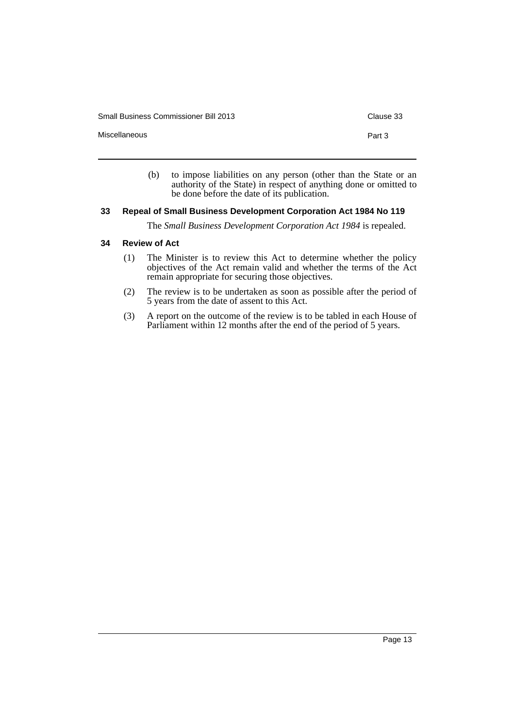Small Business Commissioner Bill 2013 Clause 33

Miscellaneous **Part 3** 

- 
- (b) to impose liabilities on any person (other than the State or an authority of the State) in respect of anything done or omitted to be done before the date of its publication.

# <span id="page-14-0"></span>**33 Repeal of Small Business Development Corporation Act 1984 No 119**

The *Small Business Development Corporation Act 1984* is repealed.

# <span id="page-14-1"></span>**34 Review of Act**

- (1) The Minister is to review this Act to determine whether the policy objectives of the Act remain valid and whether the terms of the Act remain appropriate for securing those objectives.
- (2) The review is to be undertaken as soon as possible after the period of 5 years from the date of assent to this Act.
- (3) A report on the outcome of the review is to be tabled in each House of Parliament within 12 months after the end of the period of 5 years.